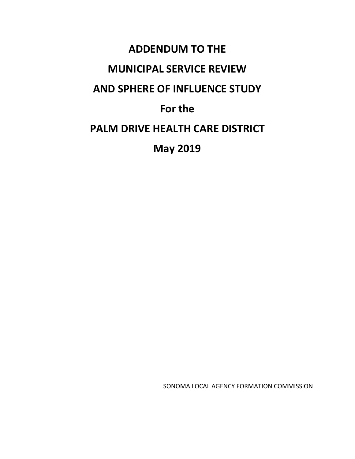# **ADDENDUM TO THE MUNICIPAL SERVICE REVIEW AND SPHERE OF INFLUENCE STUDY For the PALM DRIVE HEALTH CARE DISTRICT May 2019**

SONOMA LOCAL AGENCY FORMATION COMMISSION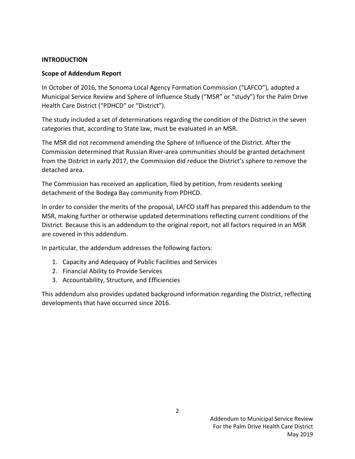#### **INTRODUCTION**

#### **Scope of Addendum Report**

In October of 2016, the Sonoma Local Agency Formation Commission ("LAFCO"), adopted a Municipal Service Review and Sphere of Influence Study ("MSR" or "study") for the Palm Drive Health Care District ("PDHCD" or "District").

The study included a set of determinations regarding the condition of the District in the seven categories that, according to State law, must be evaluated in an MSR.

The MSR did not recommend amending the Sphere of Influence of the District. After the Commission determined that Russian River-area communities should be granted detachment from the District in early 2017, the Commission did reduce the District's sphere to remove the detached area.

The Commission has received an application, filed by petition, from residents seeking detachment of the Bodega Bay community from PDHCD.

In order to consider the merits of the proposal, LAFCO staff has prepared this addendum to the MSR, making further or otherwise updated determinations reflecting current conditions of the District. Because this is an addendum to the original report, not all factors required in an MSR are covered in this addendum.

In particular, the addendum addresses the following factors:

- 1. Capacity and Adequacy of Public Facilities and Services
- 2. Financial Ability to Provide Services
- 3. Accountability, Structure, and Efficiencies

This addendum also provides updated background information regarding the District, reflecting developments that have occurred since 2016.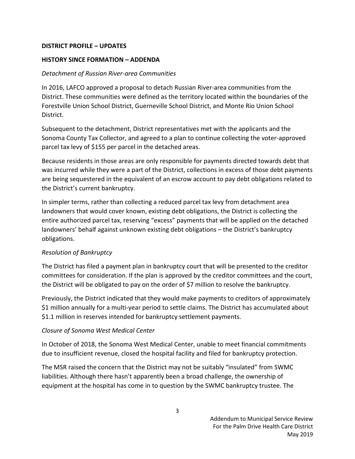#### **DISTRICT PROFILE – UPDATES**

#### **HISTORY SINCE FORMATION – ADDENDA**

#### *Detachment of Russian River-area Communities*

In 2016, LAFCO approved a proposal to detach Russian River-area communities from the District. These communities were defined as the territory located within the boundaries of the Forestville Union School District, Guerneville School District, and Monte Rio Union School District.

Subsequent to the detachment, District representatives met with the applicants and the Sonoma County Tax Collector, and agreed to a plan to continue collecting the voter-approved parcel tax levy of \$155 per parcel in the detached areas.

Because residents in those areas are only responsible for payments directed towards debt that was incurred while they were a part of the District, collections in excess of those debt payments are being sequestered in the equivalent of an escrow account to pay debt obligations related to the District's current bankruptcy.

In simpler terms, rather than collecting a reduced parcel tax levy from detachment area landowners that would cover known, existing debt obligations, the District is collecting the entire authorized parcel tax, reserving "excess" payments that will be applied on the detached landowners' behalf against unknown existing debt obligations – the District's bankruptcy obligations.

#### *Resolution of Bankruptcy*

The District has filed a payment plan in bankruptcy court that will be presented to the creditor committees for consideration. If the plan is approved by the creditor committees and the court, the District will be obligated to pay on the order of \$7 million to resolve the bankruptcy.

Previously, the District indicated that they would make payments to creditors of approximately \$1 million annually for a multi-year period to settle claims. The District has accumulated about \$1.1 million in reserves intended for bankruptcy settlement payments.

#### *Closure of Sonoma West Medical Center*

In October of 2018, the Sonoma West Medical Center, unable to meet financial commitments due to insufficient revenue, closed the hospital facility and filed for bankruptcy protection.

The MSR raised the concern that the District may not be suitably "insulated" from SWMC liabilities. Although there hasn't apparently been a broad challenge, the ownership of equipment at the hospital has come in to question by the SWMC bankruptcy trustee. The

3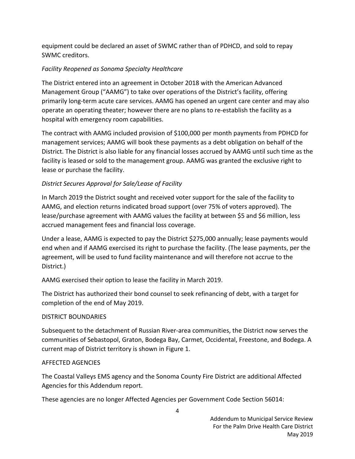equipment could be declared an asset of SWMC rather than of PDHCD, and sold to repay SWMC creditors.

## *Facility Reopened as Sonoma Specialty Healthcare*

The District entered into an agreement in October 2018 with the American Advanced Management Group ("AAMG") to take over operations of the District's facility, offering primarily long-term acute care services. AAMG has opened an urgent care center and may also operate an operating theater; however there are no plans to re-establish the facility as a hospital with emergency room capabilities.

The contract with AAMG included provision of \$100,000 per month payments from PDHCD for management services; AAMG will book these payments as a debt obligation on behalf of the District. The District is also liable for any financial losses accrued by AAMG until such time as the facility is leased or sold to the management group. AAMG was granted the exclusive right to lease or purchase the facility.

## *District Secures Approval for Sale/Lease of Facility*

In March 2019 the District sought and received voter support for the sale of the facility to AAMG, and election returns indicated broad support (over 75% of voters approved). The lease/purchase agreement with AAMG values the facility at between \$5 and \$6 million, less accrued management fees and financial loss coverage.

Under a lease, AAMG is expected to pay the District \$275,000 annually; lease payments would end when and if AAMG exercised its right to purchase the facility. (The lease payments, per the agreement, will be used to fund facility maintenance and will therefore not accrue to the District.)

AAMG exercised their option to lease the facility in March 2019.

The District has authorized their bond counsel to seek refinancing of debt, with a target for completion of the end of May 2019.

#### DISTRICT BOUNDARIES

Subsequent to the detachment of Russian River-area communities, the District now serves the communities of Sebastopol, Graton, Bodega Bay, Carmet, Occidental, Freestone, and Bodega. A current map of District territory is shown in Figure 1.

#### AFFECTED AGENCIES

The Coastal Valleys EMS agency and the Sonoma County Fire District are additional Affected Agencies for this Addendum report.

These agencies are no longer Affected Agencies per Government Code Section 56014: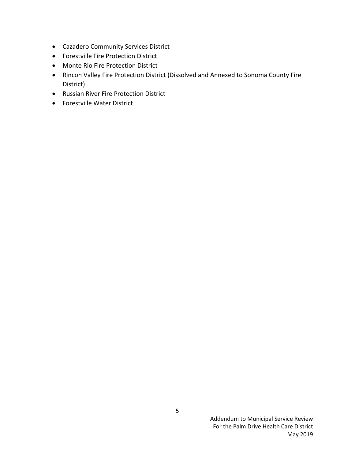- Cazadero Community Services District
- Forestville Fire Protection District
- Monte Rio Fire Protection District
- Rincon Valley Fire Protection District (Dissolved and Annexed to Sonoma County Fire District)
- Russian River Fire Protection District
- Forestville Water District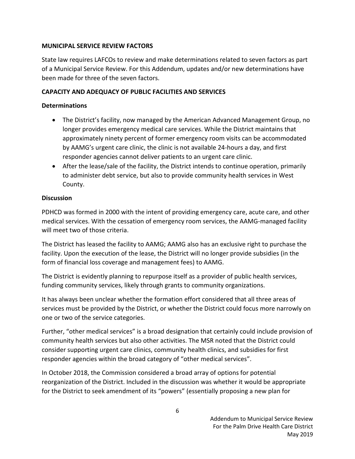#### **MUNICIPAL SERVICE REVIEW FACTORS**

State law requires LAFCOs to review and make determinations related to seven factors as part of a Municipal Service Review. For this Addendum, updates and/or new determinations have been made for three of the seven factors.

## **CAPACITY AND ADEQUACY OF PUBLIC FACILITIES AND SERVICES**

#### **Determinations**

- The District's facility, now managed by the American Advanced Management Group, no longer provides emergency medical care services. While the District maintains that approximately ninety percent of former emergency room visits can be accommodated by AAMG's urgent care clinic, the clinic is not available 24-hours a day, and first responder agencies cannot deliver patients to an urgent care clinic.
- After the lease/sale of the facility, the District intends to continue operation, primarily to administer debt service, but also to provide community health services in West County.

#### **Discussion**

PDHCD was formed in 2000 with the intent of providing emergency care, acute care, and other medical services. With the cessation of emergency room services, the AAMG-managed facility will meet two of those criteria.

The District has leased the facility to AAMG; AAMG also has an exclusive right to purchase the facility. Upon the execution of the lease, the District will no longer provide subsidies (in the form of financial loss coverage and management fees) to AAMG.

The District is evidently planning to repurpose itself as a provider of public health services, funding community services, likely through grants to community organizations.

It has always been unclear whether the formation effort considered that all three areas of services must be provided by the District, or whether the District could focus more narrowly on one or two of the service categories.

Further, "other medical services" is a broad designation that certainly could include provision of community health services but also other activities. The MSR noted that the District could consider supporting urgent care clinics, community health clinics, and subsidies for first responder agencies within the broad category of "other medical services".

In October 2018, the Commission considered a broad array of options for potential reorganization of the District. Included in the discussion was whether it would be appropriate for the District to seek amendment of its "powers" (essentially proposing a new plan for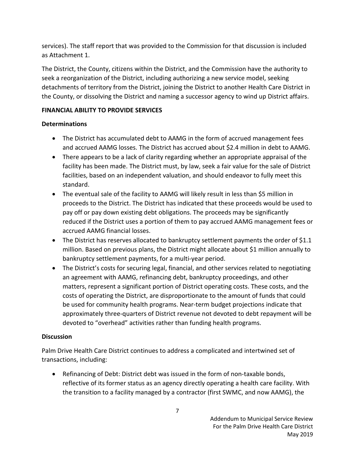services). The staff report that was provided to the Commission for that discussion is included as Attachment 1.

The District, the County, citizens within the District, and the Commission have the authority to seek a reorganization of the District, including authorizing a new service model, seeking detachments of territory from the District, joining the District to another Health Care District in the County, or dissolving the District and naming a successor agency to wind up District affairs.

## **FINANCIAL ABILITY TO PROVIDE SERVICES**

## **Determinations**

- The District has accumulated debt to AAMG in the form of accrued management fees and accrued AAMG losses. The District has accrued about \$2.4 million in debt to AAMG.
- There appears to be a lack of clarity regarding whether an appropriate appraisal of the facility has been made. The District must, by law, seek a fair value for the sale of District facilities, based on an independent valuation, and should endeavor to fully meet this standard.
- The eventual sale of the facility to AAMG will likely result in less than \$5 million in proceeds to the District. The District has indicated that these proceeds would be used to pay off or pay down existing debt obligations. The proceeds may be significantly reduced if the District uses a portion of them to pay accrued AAMG management fees or accrued AAMG financial losses.
- The District has reserves allocated to bankruptcy settlement payments the order of \$1.1 million. Based on previous plans, the District might allocate about \$1 million annually to bankruptcy settlement payments, for a multi-year period.
- The District's costs for securing legal, financial, and other services related to negotiating an agreement with AAMG, refinancing debt, bankruptcy proceedings, and other matters, represent a significant portion of District operating costs. These costs, and the costs of operating the District, are disproportionate to the amount of funds that could be used for community health programs. Near-term budget projections indicate that approximately three-quarters of District revenue not devoted to debt repayment will be devoted to "overhead" activities rather than funding health programs.

#### **Discussion**

Palm Drive Health Care District continues to address a complicated and intertwined set of transactions, including:

• Refinancing of Debt: District debt was issued in the form of non-taxable bonds, reflective of its former status as an agency directly operating a health care facility. With the transition to a facility managed by a contractor (first SWMC, and now AAMG), the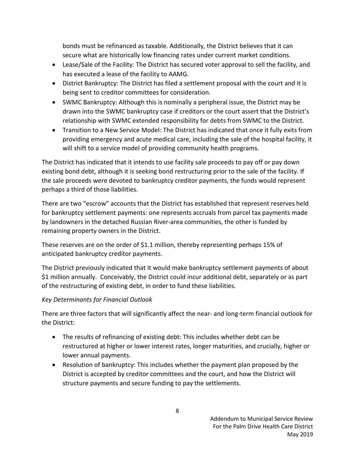bonds must be refinanced as taxable. Additionally, the District believes that it can secure what are historically low financing rates under current market conditions.

- Lease/Sale of the Facility: The District has secured voter approval to sell the facility, and has executed a lease of the facility to AAMG.
- District Bankruptcy: The District has filed a settlement proposal with the court and it is being sent to creditor committees for consideration.
- SWMC Bankruptcy: Although this is nominally a peripheral issue, the District may be drawn into the SWMC bankruptcy case if creditors or the court assert that the District's relationship with SWMC extended responsibility for debts from SWMC to the District.
- Transition to a New Service Model: The District has indicated that once it fully exits from providing emergency and acute medical care, including the sale of the hospital facility, it will shift to a service model of providing community health programs.

The District has indicated that it intends to use facility sale proceeds to pay off or pay down existing bond debt, although it is seeking bond restructuring prior to the sale of the facility. If the sale proceeds were devoted to bankruptcy creditor payments, the funds would represent perhaps a third of those liabilities.

There are two "escrow" accounts that the District has established that represent reserves held for bankruptcy settlement payments: one represents accruals from parcel tax payments made by landowners in the detached Russian River-area communities, the other is funded by remaining property owners in the District.

These reserves are on the order of \$1.1 million, thereby representing perhaps 15% of anticipated bankruptcy creditor payments.

The District previously indicated that it would make bankruptcy settlement payments of about \$1 million annually. Conceivably, the District could incur additional debt, separately or as part of the restructuring of existing debt, in order to fund these liabilities.

# *Key Determinants for Financial Outlook*

There are three factors that will significantly affect the near- and long-term financial outlook for the District:

- The results of refinancing of existing debt: This includes whether debt can be restructured at higher or lower interest rates, longer maturities, and crucially, higher or lower annual payments.
- Resolution of bankruptcy: This includes whether the payment plan proposed by the District is accepted by creditor committees and the court, and how the District will structure payments and secure funding to pay the settlements.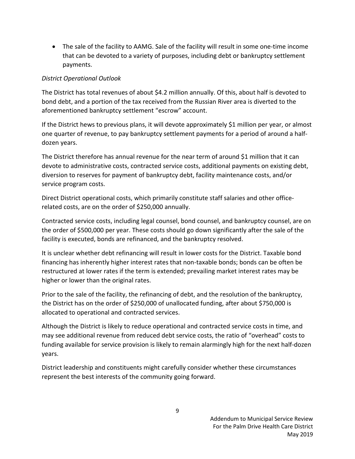• The sale of the facility to AAMG. Sale of the facility will result in some one-time income that can be devoted to a variety of purposes, including debt or bankruptcy settlement payments.

## *District Operational Outlook*

The District has total revenues of about \$4.2 million annually. Of this, about half is devoted to bond debt, and a portion of the tax received from the Russian River area is diverted to the aforementioned bankruptcy settlement "escrow" account.

If the District hews to previous plans, it will devote approximately \$1 million per year, or almost one quarter of revenue, to pay bankruptcy settlement payments for a period of around a halfdozen years.

The District therefore has annual revenue for the near term of around \$1 million that it can devote to administrative costs, contracted service costs, additional payments on existing debt, diversion to reserves for payment of bankruptcy debt, facility maintenance costs, and/or service program costs.

Direct District operational costs, which primarily constitute staff salaries and other officerelated costs, are on the order of \$250,000 annually.

Contracted service costs, including legal counsel, bond counsel, and bankruptcy counsel, are on the order of \$500,000 per year. These costs should go down significantly after the sale of the facility is executed, bonds are refinanced, and the bankruptcy resolved.

It is unclear whether debt refinancing will result in lower costs for the District. Taxable bond financing has inherently higher interest rates that non-taxable bonds; bonds can be often be restructured at lower rates if the term is extended; prevailing market interest rates may be higher or lower than the original rates.

Prior to the sale of the facility, the refinancing of debt, and the resolution of the bankruptcy, the District has on the order of \$250,000 of unallocated funding, after about \$750,000 is allocated to operational and contracted services.

Although the District is likely to reduce operational and contracted service costs in time, and may see additional revenue from reduced debt service costs, the ratio of "overhead" costs to funding available for service provision is likely to remain alarmingly high for the next half-dozen years.

District leadership and constituents might carefully consider whether these circumstances represent the best interests of the community going forward.